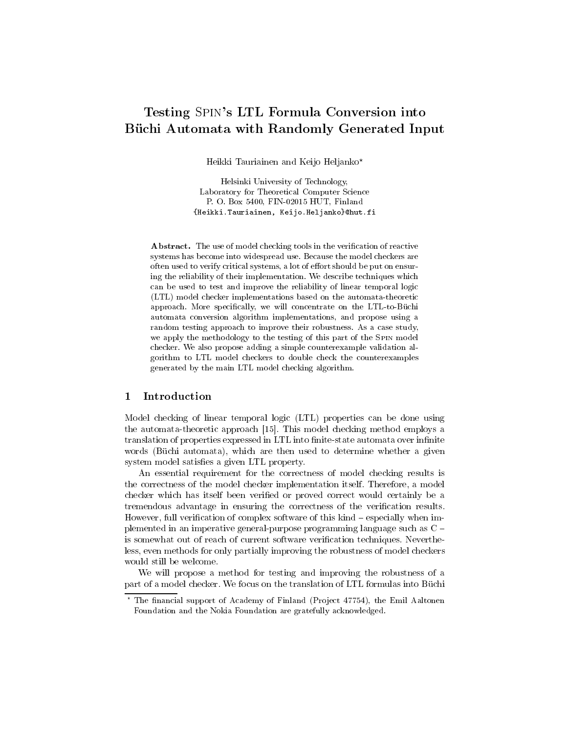# Testing Spin's LTL Formula Conversion into Büchi Automata with Randomly Generated Input

Heikki Tauriainen and Keijo Heljanko?

Helsinki University of Technology, Laboratory for Theoretical Computer Science P. O. Box 5400, FIN-02015 HUT, Finland {Heikki.Tauriainen, Keijo.Heljanko}@hut.fi

Abstract. The use of model checking tools in the verification of reactive systems has become into widespread use. Because the model checkers are often used to verify critical systems, a lot of effort should be put on ensuring the reliability of their implementation. We describe techniques which can be used to test and improve the reliability of linear temporal logic (LTL) model checker implementations based on the automata-theoretic approach. More specifically, we will concentrate on the LTL-to-Büchi automata conversion algorithm implementations, and propose using a random testing approach to improve their robustness. As a case study, we apply the methodology to the testing of this part of the Spin model checker. We also propose adding a simple counterexample validation algorithm to LTL model checkers to double check the counterexamples generated by the main LTL model checking algorithm.

## 1 Introduction

Model checking of linear temporal logic (LTL) properties can be done using the automata-theoretic approach [15]. This model checking method employs a translation of properties expressed in LTL into finite-state automata over infinite words (Büchi automata), which are then used to determine whether a given system model satisfies a given LTL property.

An essential requirement for the correctness of model checking results is the correctness of the model checker implementation itself. Therefore, a model checker which has itself been verified or proved correct would certainly be a tremendous advantage in ensuring the correctness of the verification results. However, full verification of complex software of this kind  $-$  especially when implemented in an imperative general-purpose programming language such as C is somewhat out of reach of current software verification techniques. Nevertheless, even methods for only partially improving the robustness of model checkers would still be welcome.

We will propose a method for testing and improving the robustness of a part of a model checker. We focus on the translation of LTL formulas into Büchi

<sup>?</sup> The nancial support of Academy of Finland (Pro ject 47754), the Emil Aaltonen Foundation and the Nokia Foundation are gratefully acknowledged.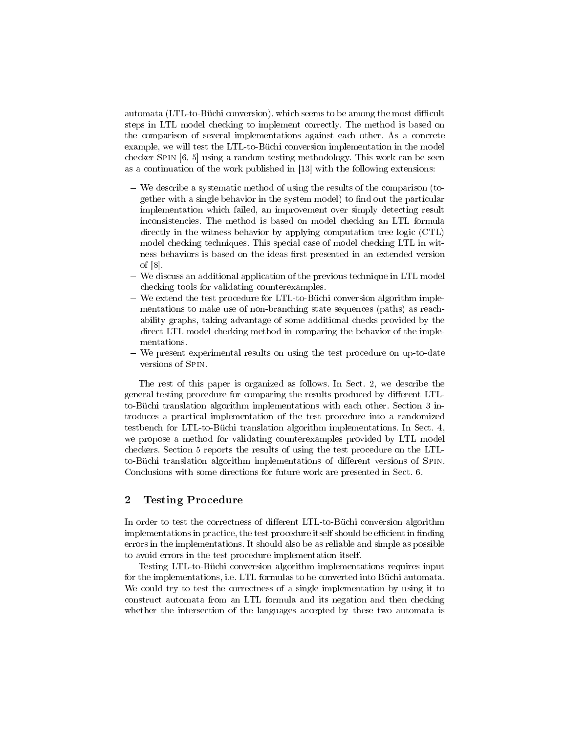$a$ utomata (LTL-to-Büchi conversion), which seems to be among the most difficult steps in LTL model checking to implement correctly. The method isbased on the comparison of several implementations against each other. As a concrete example, we will test the LTL-to-Büchi conversion implementation in the model checker Spin [6, 5] using a random testing methodology. This work can be seen as a continuation of the work published in [13] with the following extensions:

- We describe a systematic method of using the results of the comparison (together with a single behavior in the system model) to find out the particular implementation which failed, an improvement over simply detecting result inconsistencies. The method isbased on model checking an LTL formula directly in the witness behavior by applying computation tree logic (CTL) model checking techniques. This special case of model checking LTL in witness behaviors is based on the ideas first presented in an extended version of [8].
- We discuss an additional application of the previous technique in LTL model checking tools for validating counterexamples.
- We extend the test procedure for LTL-to-Büchi conversion algorithm implementations to make use of non-branching state sequences (paths) as reachability graphs, taking advantage of some additional checks provided by the direct LTL model checking method in comparing the behavior of the implementations.
- We present experimental results on using the test procedure on up-to-date versions of SPIN.

The rest of this paper is organized as follows. In Sect. 2, we describe the general testing procedure for comparing the results produced by different LTLto-Büchi translation algorithm implementations with each other. Section 3 introduces a practical implementation of the test procedure into a randomized testbench for LTL-to-Büchi translation algorithm implementations. In Sect. 4, we propose a method for validating counterexamples provided by LTL model checkers. Section 5 reports the results of using the test procedure on the LTLto-Büchi translation algorithm implementations of different versions of SPIN. Conclusions with some directions for future work are presented in Sect. 6.

#### 2 Testing Procedure

In order to test the correctness of different LTL-to-Büchi conversion algorithm implementations in practice, the test procedure itself should be efficient in finding errors in the implementations. It should also be as reliable and simple as possible to avoid errors in the test procedure implementation itself.

Testing LTL-to-Büchi conversion algorithm implementations requires input for the implementations, i.e. LTL formulas to be converted into Büchi automata. We could try to test the correctness of a single implementation by using it to construct automata from an LTL formula and its negation and then checking whether the intersection of the languages accepted by these two automata is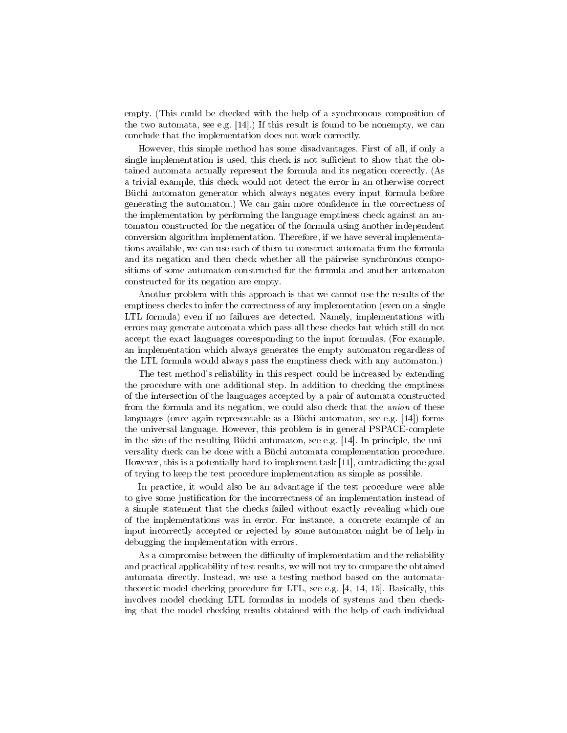empty. (This could be checked with the help of a synchronous composition of the two automata, see e.g. [14].) If this result is found to be nonempty, we can conclude that the implementation does not work correctly.

However, this simple method has some disadvantages. First of all, if only a single implementation is used, this check is not sufficient to show that the obtained automata actually represent the formula and its negation correctly. (As a trivial example, this check would not detect the error in an otherwise correct Büchi automaton generator which always negates every input formula before generating the automaton.) We can gain more confidence in the correctness of the implementation by performing the language emptiness check against an automaton constructed for the negation of the formula using another independent conversion algorithm implementation. Therefore, if we have several implementations available, we can use each of them to construct automata from the formula and its negation and then check whether all the pairwise synchronous compositions of some automaton constructed for the formula and another automaton constructed for its negation are empty.

Another problem with this approach is that we cannot use the results of the emptiness checks to infer the correctness of any implementation (even on a single LTL formula) even if no failures are detected. Namely, implementations with errors may generate automata which pass all these checks but which still do not accept the exact languages corresponding to the input formulas. (For example, an implementation which always generates the empty automaton regardless of the LTL formula would always pass the emptiness check with any automaton.)

The test method's reliability in this respect could be increased by extending the procedure with one additional step. In addition to checking the emptiness of the intersection of the languages accepted by a pair of automata constructed from the formula and its negation, we could also check that the *union* of these languages (once again representable as a Büchi automaton, see e.g. [14]) forms the universal language. However, this problem is in general PSPACE-complete in the size of the resulting Büchi automaton, see e.g. [14]. In principle, the uni versality check can be done with a Büchi automata complementation procedure. However, this is a potentially hard-to-implement task [11], contradicting the goal of trying to keep the test procedure implementation as simple as possible.

In practice, it would also be an advantage if the test procedure were able to give some justification for the incorrectness of an implementation instead of a simple statement that the checks failed without exactly revealing which one of the implementations was in error. For instance, a concrete example of an input incorrectly accepted or rejected by some automaton might be of help in debugging the implementation with errors.

As a compromise between the difficulty of implementation and the reliability and practical applicability of test results, we will not try to compare the obtained automata directly. Instead, we use a testing method based on the automatatheoretic model checking procedure for LTL, see e.g. [4, 14, 15]. Basically, this involves model checking LTL formulas in models of systems and then checking that the model checking results obtained with the help of each individual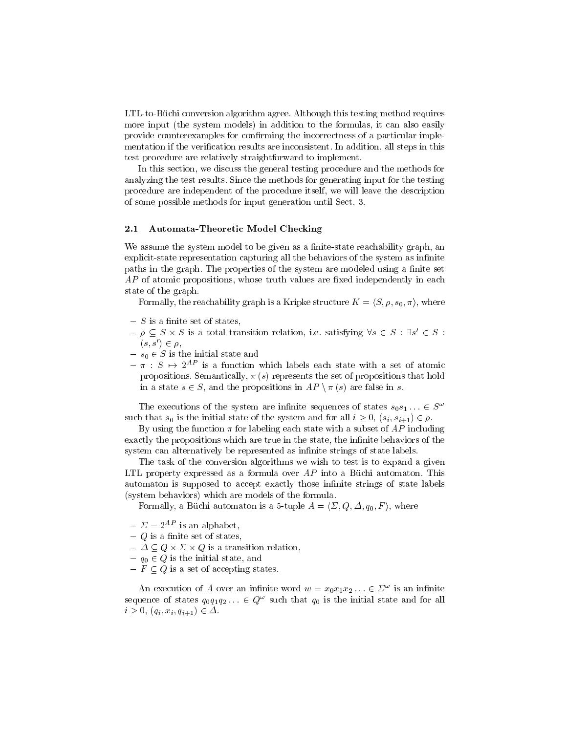LTL-to-Büchi conversion algorithm agree. Although this testing method requires more input (the system models) in addition to the formulas, it can also easily provide counterexamples for confirming the incorrectness of a particular implementation if the verification results are inconsistent. In addition, all steps in this test procedure are relatively straightforward to implement.

In this section, we discuss the general testing procedure and the methods for analyzing the test results. Since the methods for generating input for the testing procedure are independent of the procedure itself, we will leave the description of some possible methods for input generation until Sect. 3.

#### 2.1 Automata-Theoretic Model Checking

We assume the system model to be given as a finite-state reachability graph, an explicit-state representation capturing all the behaviors of the system as infinite paths in the graph. The properties of the system are modeled using a finite set  $AP$  of atomic propositions, whose truth values are fixed independently in each state of the graph.

Formally, the reachability graph is a Kripke structure  $K = \langle S, \rho, s_0, \pi \rangle$ , where

- $-S$  is a finite set of states,
- $\Box$   $\rho$   $\Box$   $S$   $\times$   $S$  is a total transition relation, i.e. satisfying  $\forall s \in S$  :  $\Box s \in S$  :  $(s, s') \in \rho$ ,
- $s_0 \in S$  is the initial state and
- $-\pi : S \mapsto 2^{AP}$  is a function which labels each state with a set of atomic propositions. Semantically,  $\pi(s)$  represents the set of propositions that hold in a state  $s \in S$ , and the propositions in  $AP \setminus \pi(s)$  are false in s.

The executions of the system are infinite sequences of states  $s_0s_1 \ldots \in S^{\omega}$ such that  $s_0$  is the initial state of the system and for all  $i \geq 0$ ,  $(s_i, s_{i+1}) \in \rho$ .

By using the function  $\pi$  for labeling each state with a subset of AP including exactly the propositions which are true in the state, the infinite behaviors of the system can alternatively be represented as infinite strings of state labels.

The task of the conversion algorithms we wish to test is to expand a given LTL property expressed as a formula over  $AP$  into a Büchi automaton. This automaton is supposed to accept exactly those infinite strings of state labels (system behaviors) which are models of the formula.

Formally, a Büchi automaton is a 5-tuple  $A = \langle \Sigma, Q, \Delta, q_0, F \rangle$ , where

- $\sum = 2^{AP}$  is an alphabet,
- $-Q$  is a finite set of states,
- Q Q is a transition relation,
- $-q_0 \in Q$  is the initial state, and
- $-F \subseteq Q$  is a set of accepting states.

An execution of A over an infinite word  $w = x_0 x_1 x_2 \dots \in \mathbb{Z}^+$  is an infinite sequence of states  $q_0q_1q_2\ldots \in Q^+$  such that  $q_0$  is the initial state and for all  $i \ge 0, (q_i, x_i, q_{i+1}) \in \Delta.$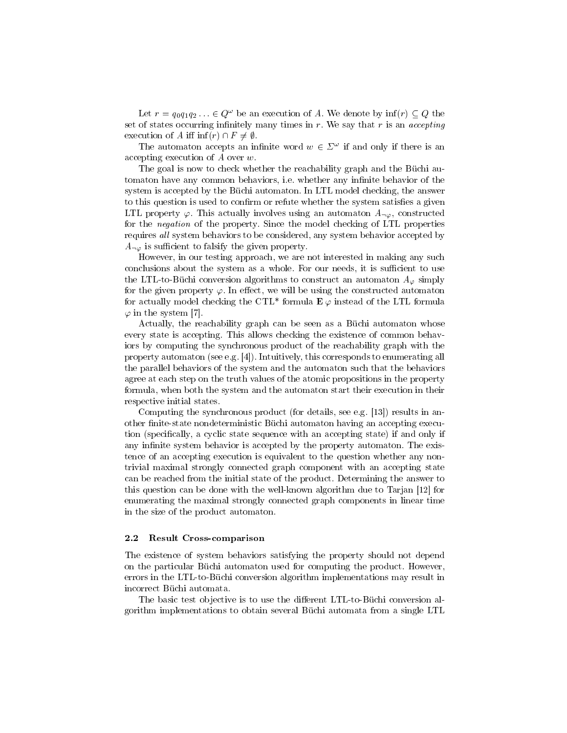Let  $r = q_0q_1q_2... \in Q^{\omega}$  be an execution of A. We denote by  $\inf(r) \subseteq Q$  the set of states occurring infinitely many times in  $r$ . We say that  $r$  is an *accepting* execution of A iff inf(r)  $\cap$  F  $\neq \emptyset$ .

The automaton accepts an infinite word  $w \in \mathbb{Z}^+$  if and only if there is an accepting execution of  $A$  over  $w$ .<br>The goal is now to check whether the reachability graph and the Büchi au-

tomaton have any common behaviors, i.e. whether any infinite behavior of the system is accepted by the Büchi automaton. In LTL model checking, the answer to this question is used to confirm or refute whether the system satisfies a given LTL property  $\varphi$ . This actually involves using an automaton  $A_{\neg \varphi}$ , constructed for the negation of the property. Since the model checking of LTL properties requires al<sup>l</sup> system behaviors to be considered, any system behavior accepted by  $A_{-\varphi}$  is sufficient to falsify the given property.

However, in our testing approach, we are not interested in making any such conclusions about the system as a whole. For our needs, it is sufficient to use the LTL-to-Büchi conversion algorithms to construct an automaton  $A_{\varphi}$  simply for the given property  $\varphi$ . In effect, we will be using the constructed automaton for actually model checking the CTL\* formula  $\mathbf{E}\varphi$  instead of the LTL formula  $\varphi$  in the system [7].

Actually, the reachability graph can be seen as a Büchi automaton whose every state is accepting. This allows checking the existence of common behaviors by computing the synchronous product of the reachability graph with the property automaton (see e.g. [4]). Intuitively, this corresponds to enumerating all the parallel behaviors of the system and the automaton such that the behaviors agree at each step on the truth values of the atomic propositions in the property formula, when both the system and the automaton start their execution in their respective initial states.

Computing the synchronous product (for details, see e.g. [13]) results in another finite-state nondeterministic Büchi automaton having an accepting execution (specifically, a cyclic state sequence with an accepting state) if and only if any infinite system behavior is accepted by the property automaton. The existence of an accepting execution is equivalent to the question whether any nontrivial maximal strongly connected graph component with an accepting state can be reached from the initial state of the product. Determining the answer to this question can be done with the well-known algorithm due to Tarjan [12] for enumerating the maximal strongly connected graph components in linear time in the size of the product automaton.

#### 2.2 Result Cross-comparison

The existence of system behaviors satisfying the property should not depend on the particular Büchi automaton used for computing the product. However, errors in the LTL-to-Büchi conversion algorithm implementations may result in incorrect Büchi automata.

The basic test objective is to use the different LTL-to-Büchi conversion algorithm implementations to obtain several Büchi automata from a single LTL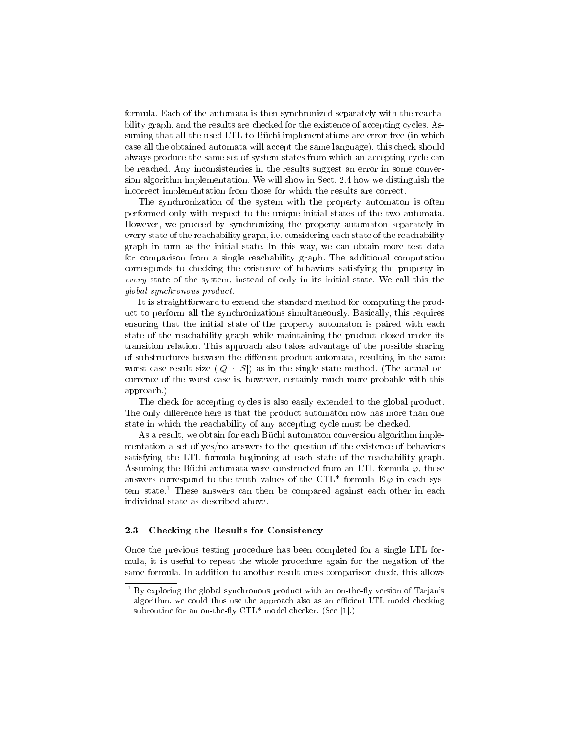formula. Each of the automata is then synchronized separately with the reachability graph, and the results are checked for the existence of accepting cycles. Assuming that all the used LTL-to-Büchi implementations are error-free (in which case all the obtained automata will accept the same language), this check should always produce the same set of system states from which an accepting cycle can be reached. Any inconsistencies in the results suggest an error in some conversion algorithm implementation. We will show in Sect. 2.4 how we distinguish the incorrect implementation from those for which the results are correct.

The synchronization of the system with the property automaton is often performed only with respect to the unique initial states of the two automata. However, we proceed by synchronizing the property automaton separately in every state of the reachability graph, i.e. considering each state of the reachability graph in turn as the initial state. In this way, we can obtain more test data for comparison from a single reachability graph. The additional computation corresponds to checking the existence of behaviors satisfying the property in every state of the system, instead of only in its internal state. We call this this this this global synchronous product.

It is straightforward to extend the standard method for computing the product to perform all the synchronizations simultaneously. Basically, this requires ensuring that the initial state of the property automaton is paired with each state of the reachability graph while maintaining the product closed under its transition relation. This approach also takes advantage of the possible sharing of substructures between the different product automata, resulting in the same worst-case result size  $(|Q| \cdot |S|)$  as in the single-state method. (The actual occurrence of the worst case is, however, certainly much more probable with this approach.)

The check for accepting cycles is also easily extended to the global product. The only difference here is that the product automaton now has more than one state in which the reachability of any accepting cycle must be checked.

As a result, we obtain for each Büchi automaton conversion algorithm implementation a set of yes/no answers to the question of the existence of behaviors satisfying the LTL formula beginning at each state of the reachability graph. Assuming the Büchi automata were constructed from an LTL formula  $\varphi$ , these answers correspond to the truth values of the CTL\* formula  $\mathbf{E}\varphi$  in each system state.<sup>1</sup> These answers can then be compared against each other in each individual state as described above.

#### 2.3 Checking the Results for Consistency

Once the previous testing procedure has been completed for a single LTL for mula, it is useful to repeat the whole procedure again for the negation of the same formula. In addition to another result cross-comparison check, this allows

<sup>&</sup>lt;sup>1</sup> By exploring the global synchronous product with an on-the-fly version of Tarjan's algorithm, we could thus use the approach also as an efficient LTL model checking subroutine for an on-the-fly  $\text{CTL*}$  model checker. (See [1].)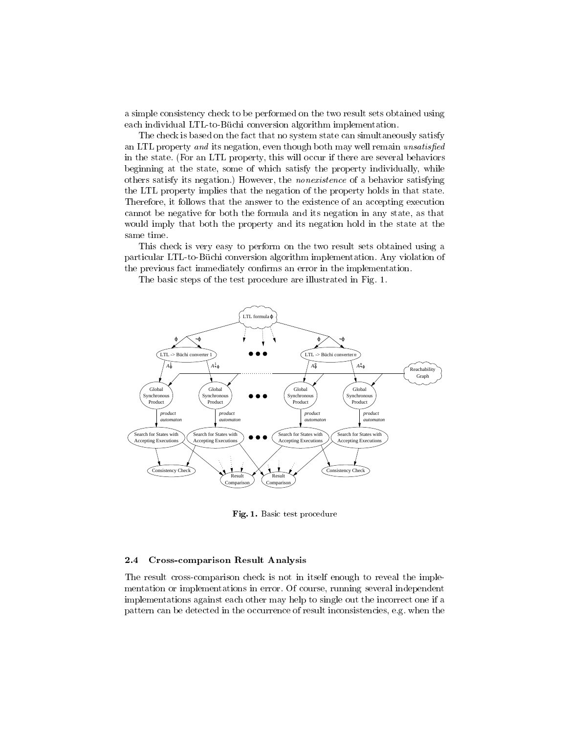a simple consistency check to be performed on the two result sets obtained using each individual LTL-to-Büchi conversion algorithm implementation.

The check is based on the fact that no system state can simultaneously satisfy an LTL property and its negation, even though both may well remain unsatisfied in the state. (For an LTL property, this will occur if there are several behaviors beginning at the state, some of which satisfy the property individually, while others satisfy its negation.) However, the nonexistence of a behavior satisfying the LTL property implies that the negation of the property holds in that state. Therefore, it follows that the answer to the existence of an accepting execution cannot be negative for both the formula and its negation in any state, as that would imply that both the property and its negation hold in the state at the same time.

This check is very easy to perform on the two result sets obtained using a particular LTL-to-Büchi conversion algorithm implementation. Any violation of the previous fact immediately confirms an error in the implementation.

The basic steps of the test procedure are illustrated in Fig. 1.



Fig. 1. Basic test procedure

#### 2.4 Cross-comparison Result Analysis

The result cross-comparison check is not in itself enough to reveal the implementation or implementations in error. Of course, running several independent implementations against each other may help to single out the incorrect one if a pattern can be detected in the occurrence of result inconsistencies, e.g. when the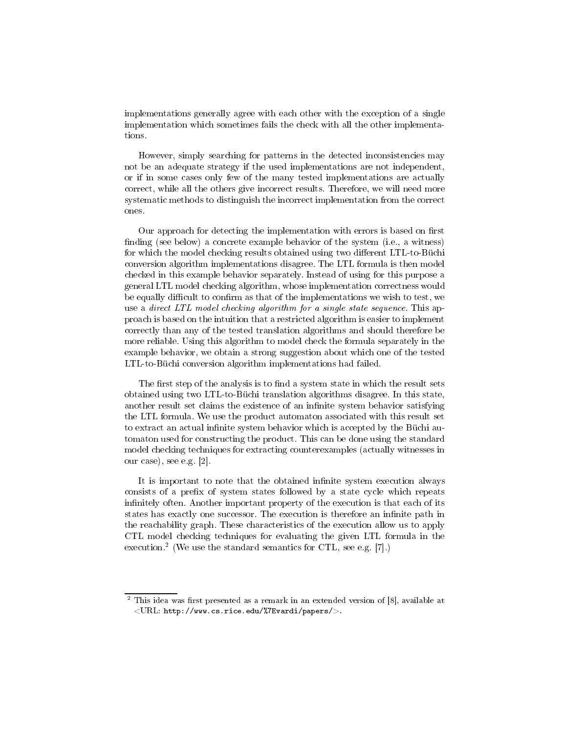implementations generally agree with each other with the exception of a single implementation which sometimes fails the check with all the other implementa-

However, simply searching for patterns in the detected inconsistencies may not be an adequate strategy if the used implementations are not independent, or if in some cases only few of the many tested implementations are actually correct, while all the others give incorrect results. Therefore, we will need more systematic methods to distinguish the incorrect implementation from the correct ones.

Our approach for detecting the implementation with errors is based on first finding (see below) a concrete example behavior of the system (i.e., a witness) for which the model checking results obtained using two different LTL-to-Büchi conversion algorithm implementations disagree. The LTL formula is then model checked in this example behavior separately. Instead of using for this purpose a general LTL model checking algorithm, whose implementation correctness would be equally difficult to confirm as that of the implementations we wish to test, we use a direct LTL model checking algorithm for a single state sequence. This approach is based on the intuition that a restricted algorithm is easier to implement correctly than any of the tested translation algorithms and should therefore be more reliable. Using this algorithm to model check the formula separately in the example behavior, we obtain a strong suggestion about which one of the tested LTL-to-Büchi conversion algorithm implementations had failed.

The first step of the analysis is to find a system state in which the result sets obtained using two LTL-to-Büchi translation algorithms disagree. In this state, another result set claims the existence of an infinite system behavior satisfying the LTL formula. We use the product automaton associated with this result set to extract an actual infinite system behavior which is accepted by the Büchi automaton used for constructing the product. This can be done using the standard model checking techniques for extracting counterexamples (actually witnesses in our case), see e.g. [2].

It is important to note that the obtained infinite system execution always consists of a prefix of system states followed by a state cycle which repeats infinitely often. Another important property of the execution is that each of its states has exactly one successor. The execution is therefore an infinite path in the reachability graph. These characteristics of the execution allow us to apply CTL model checking techniques for evaluating the given LTL formula in the execution. Twe use the standard semantics for  $CLE$ , see e.g. [7].)

<sup>2</sup> This idea was rst presented as a remark in an extended version of [8], available at  $\langle \text{URL: http://www.cs.rice.edu//7Evardi/papers/>.}$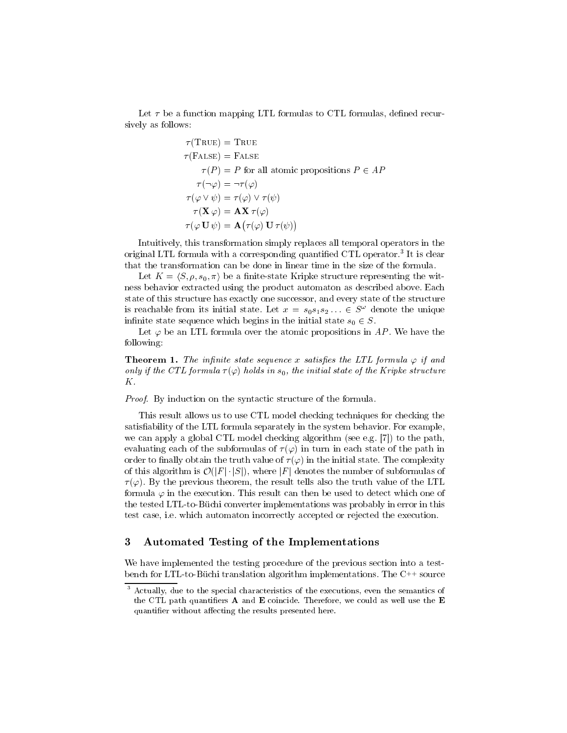Let  $\tau$  be a function mapping LTL formulas to CTL formulas, defined recursively as follows:

$$
\tau(\text{TRUE}) = \text{TRUE}
$$
  
\n
$$
\tau(\text{FALSE}) = \text{FALSE}
$$
  
\n
$$
\tau(P) = P \text{ for all atomic propositions } P \in AP
$$
  
\n
$$
\tau(\neg \varphi) = \neg \tau(\varphi)
$$
  
\n
$$
\tau(\varphi \lor \psi) = \tau(\varphi) \lor \tau(\psi)
$$
  
\n
$$
\tau(\mathbf{X} \varphi) = \mathbf{A} \mathbf{X} \tau(\varphi)
$$
  
\n
$$
\tau(\varphi \mathbf{U} \psi) = \mathbf{A} (\tau(\varphi) \mathbf{U} \tau(\psi))
$$

Intuitively, this transformation simply replaces all temporal operators in the original LTL formula with a corresponding quantied CTL operator.3 It is clear that the transformation can be done in linear time in the size of the formula.

Let  $K = \langle S, \rho, s_0, \pi \rangle$  be a finite-state Kripke structure representing the witness behavior extracted using the product automaton as described above. Each state of this structure has exactly one successor, and every state of the structure is reachable from its initial state. Let  $x = s_0 s_1 s_2 ... \in S^{\omega}$  denote the unique infinite state sequence which begins in the initial state  $s_0 \in S$ .

Let  $\varphi$  be an LTL formula over the atomic propositions in AP. We have the following: following:

**Theorem 1.** The infinite state sequence x satisfies the LTL formula  $\varphi$  if and only if the CIL formula  $\tau(\varphi)$  holds in  $s_0,$  the initial state of the Kripke structure K.

Proof. By induction on the syntactic structure of the formula.

This result allows us to use CTL model checking techniques for checking the satisfiability of the LTL formula separately in the system behavior. For example, we can apply a global CTL model checking algorithm (see e.g. [7]) to the path, evaluating each of the subformulas of  $\tau(\varphi)$  in turn in each state of the path in order to finally obtain the truth value of  $\tau(\varphi)$  in the initial state. The complexity of this algorithm is  $\mathcal{O}(|F| \cdot |S|)$ , where  $|F|$  denotes the number of subformulas of  $\tau(\varphi)$ . By the previous theorem, the result tells also the truth value of the LTL formula  $\varphi$  in the execution. This result can then be used to detect which one of the tested LTL-to-Büchi converter implementations was probably in error in this test case, i.e. which automaton incorrectly accepted or rejected the execution.

#### 3 3 Automated Testing of the Implementations

We have implemented the testing procedure of the previous section into a testbench for LTL-to-Büchi translation algorithm implementations. The C++ source

<sup>3</sup> Actually, due to the special characteristics of the executions, even the semantics of the CTL path quantifiers  $A$  and  $E$  coincide. Therefore, we could as well use the  $E$ quantifier without affecting the results presented here.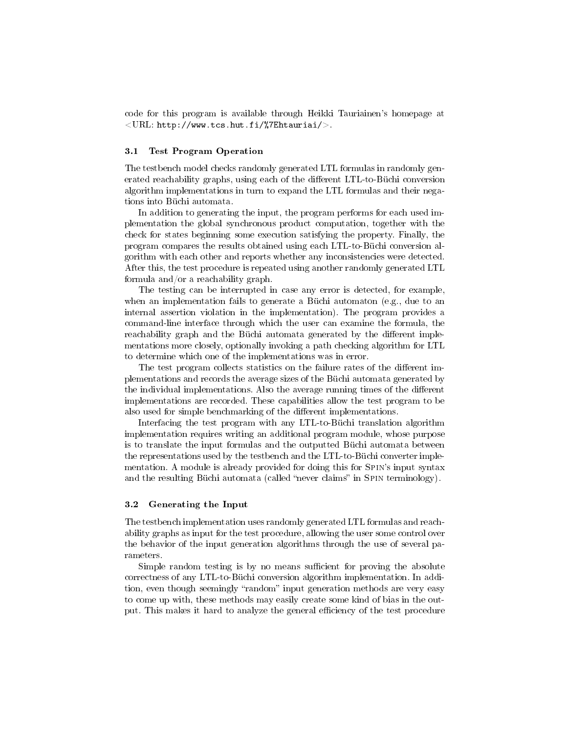code for this program is available through Heikki Tauriainen's homepage at  $\langle \text{URL: http://www.tcs.hut.fi/\%7Ehtauriai}/>.$ 

#### 3.1 Test Program Operation

The testbench model checks randomly generated LTL formulas in randomly generated reachability graphs, using each of the different LTL-to-Büchi conversion algorithm implementations in turn to expand the LTL formulas and their negations into Büchi automata.

In addition to generating the input, the program performs for each used implementation the global synchronous product computation, together with the check for states beginning some execution satisfying the property. Finally, the program compares the results obtained using each LTL-to-Büchi conversion algorithm with each other and reports whether any inconsistencies were detected. After this, the test procedure is repeated using another randomly generated LTL formula and/or a reachability graph.

The testing can be interrupted in case any error is detected, for example, when an implementation fails to generate a Büchi automaton (e.g., due to an internal assertion violation in the implementation). The program provides a command-line interface through which the user can examine the formula, the reachability graph and the Büchi automata generated by the different implementations more closely, optionally invoking a path checking algorithm for LTL to determine which one of the implementations was in error.

The test program collects statistics on the failure rates of the different implementations and records the average sizes of the Büchi automata generated by the individual implementations. Also the average running times of the different implementations are recorded. These capabilities allow the test program to be also used for simple benchmarking of the different implementations.

Interfacing the test program with any LTL-to-Büchi translation algorithm implementation requires writing an additional program module, whose purpose is to translate the input formulas and the outputted Büchi automata between the representations used by the testbench and the LTL-to-Büchi converter implementation. A module is already provided for doing this for Spin's input syntax and the resulting Büchi automata (called "never claims" in SPIN terminology).

### 3.2 Generating the Input

The testbench implementation uses randomly generated LTL formulas and reachability graphs as input for the test procedure, allowing the user some control over the behavior of the input generation algorithms through the use of several parameters.

Simple random testing is by no means sufficient for proving the absolute correctness of any LTL-to-Büchi conversion algorithm implementation. In addition, even though seemingly "random" input generation methods are very easy to come up with, these methods may easily create some kind of bias in the output. This makes it hard to analyze the general efficiency of the test procedure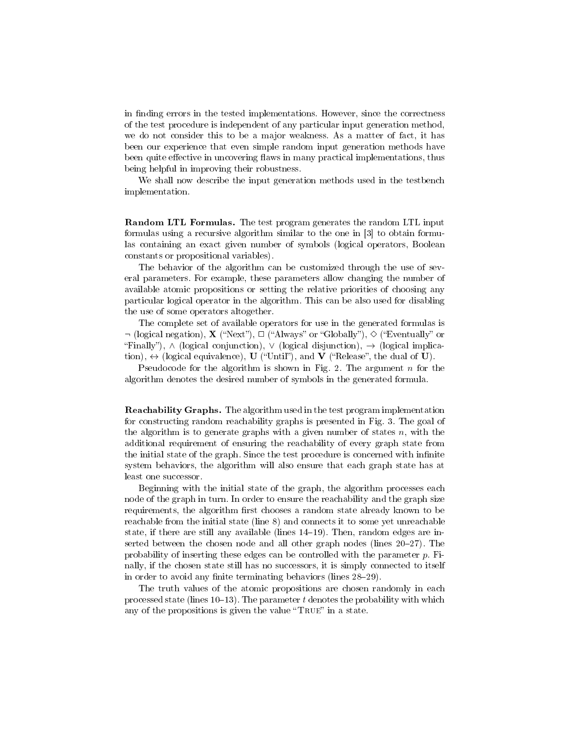in finding errors in the tested implementations. However, since the correctness of the test procedure is independent of any particular input generation method, we do not consider this to be a major weakness. As a matter of fact, it has been our experience that even simple random input generation methods have been quite effective in uncovering flaws in many practical implementations, thus being helpful in improving their robustness.

We shall now describe the input generation methods used in the testbench implementation.

Random LTL Formulas. The test program generates the random LTL input formulas using a recursive algorithm similar to the one in [3] to obtain formulas containing an exact given number of symbols (logical operators, Boolean constants or propositional variables).

The behavior of the algorithm can be customized through the use of several parameters. For example, these parameters allow changing the number of available atomic propositions or setting the relative priorities of choosing any particular logical operator in the algorithm. This can be also used for disabling the use of some operators altogether.

The complete set of available operators for use in the generated formulas is  $\lnot$  (logical negation), **X** ("Next"),  $\Box$  ("Always" or "Globally"),  $\diamond$  ("Eventually" or "Finally"),  $\wedge$  (logical conjunction),  $\vee$  (logical disjunction),  $\rightarrow$  (logical implication),  $\leftrightarrow$  (logical equivalence), U ("Until"), and V ("Release", the dual of U).

Pseudocode for the algorithm is shown in Fig. 2. The argument  $n$  for the algorithm denotes the desired number of symbols in the generated formula.

Reachability Graphs. The algorithm used in the test program implementation for constructing random reachability graphs is presented in Fig. 3. The goal of the algorithm is to generate graphs with a given number of states  $n$ , with the additional requirement of ensuring the reachability of every graph state from the initial state of the graph. Since the test procedure is concerned with infinite system behaviors, the algorithm will also ensure that each graph state has at least one successor.

Beginning with the initial state of the graph, the algorithm processes each node of the graph in turn. In order to ensure the reachability and the graph size requirements, the algorithm first chooses a random state already known to be reachable from the initial state (line 8) and connects it to some yet unreachable state, if there are still any available (lines  $14-19$ ). Then, random edges are inserted between the chosen node and all other graph nodes (lines  $20-27$ ). The probability of inserting these edges can be controlled with the parameter  $p$ . Finally, if the chosen state still has no successors, it is simply connected to itself in order to avoid any finite terminating behaviors (lines  $28-29$ ).

The truth values of the atomic propositions are chosen randomly in each processed state (lines  $10-13$ ). The parameter t denotes the probability with which any of the propositions is given the value "TRUE" in a state.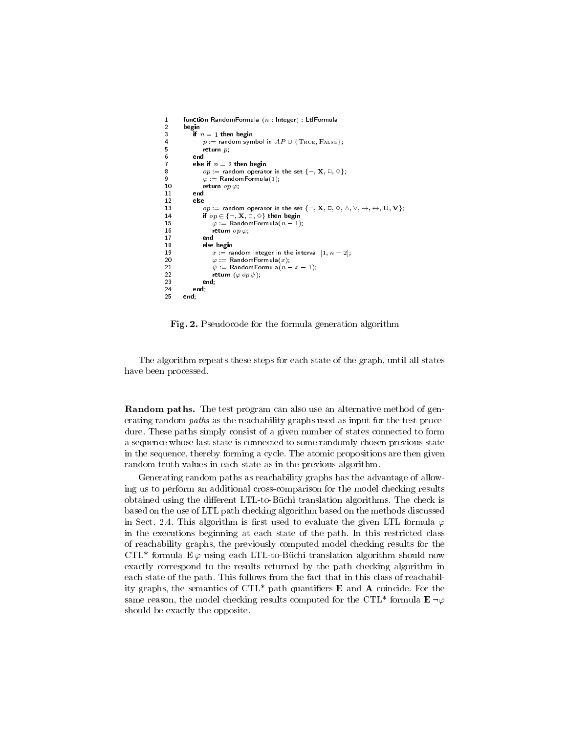```
1function RandomFormula (n: Integer) : LtlFormula
2 begin
3if n = 1 then begin
\frac{4}{5}p := random symbol in AP \cup \{ \text{True}, \text{False} \};<br>return p;
6 end
7else if n = 2 then begin
                     op := random operator in the set \{-, \mathbf{X}, \Box, \Diamond\};
8\varphi := RandomFormula(1);
910return op \varphi;<br>end
1112op := random operator in the set \{\neg, \mathbf{X}, \Box, \diamondsuit, \wedge, \vee, \rightarrow, \leftrightarrow, \mathbf{U}, \mathbf{V}\},1314If op \in \{\neg, \mathbf{X}, \sqcup, \vee\} then begin<br>
\varphi := \mathsf{RandomFormula}(n-1);<br>
return on \varphi:
15
 -1516return op \varphi;
17end
 - -
                    end
                      else begin
19x := random integer in the interval [1, n - 2];
                           \varphi \, := \, \mathsf{RandomFormula}(x) \, ;20
 -
 \frac{1}{2} : Random Formula (n \frac{1}{2});
22return (\varphi \circ p \psi);
 --
23
                      end; -
24
                end ·
                 end; and the contract of the contract of the contract of the contract of the contract of the contract of the contract of the contract of the contract of the contract of the contract of the contract of the contract of the c
25
            end;
 --
```
Fig. 2. Pseudocode for the formula generation algorithm

The algorithm repeats these steps for each state of the graph, until all states have been processed.

Random paths. The test program can also use an alternative method of generating random *paths* as the reachability graphs used as input for the test procedure. These paths simply consist of a given number of states connected to form a sequence whose last state is connected to some randomly chosen previous state in the sequence, thereby forming a cycle. The atomic propositions are then given random truth values in each state as in the previous algorithm.

Generating random paths as reachability graphs has the advantage of allowing us to perform an additional cross-comparison for the model checking results obtained using the different LTL-to-Büchi translation algorithms. The check is based on the use of LTL path checking algorithm based on the methods discussed in Sect. 2.4. This algorithm is first used to evaluate the given LTL formula  $\varphi$ in the executions beginning at each state of the path. In this restricted class of reachability graphs, the previously computed model checking results for the CTL\* formula  $\mathbf{E}\varphi$  using each LTL-to-Büchi translation algorithm should now exactly correspond to the results returned by the path checking algorithm in each state of the path. This follows from the fact that in this class of reachability graphs, the semantics of  $\text{CTL}^*$  path quantifiers **E** and **A** coincide. For the same reason, the model checking results computed for the CTL\* formula  $\mathbf{E} \neg \varphi$ should be exactly the opposite.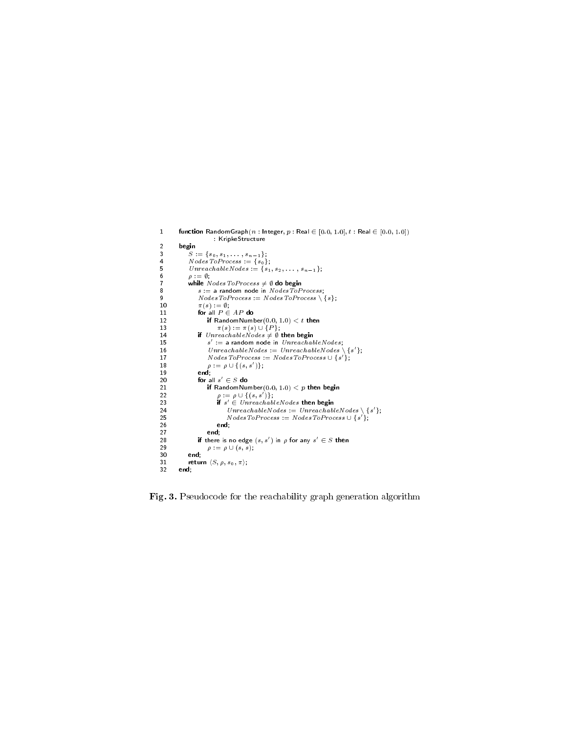```
1 function RandomGraph(n : Integer; p : Real 2 [0:0; 1:0]; t : Real 2 [0:0; 1:0])
                       : KripkeStructure
2 begin
3S := \{s_0, s_1, \ldots, s_{n-1}\};\ Nodes \, To\, process := \{s_0\};\4 NodesToProcess := fs0g; 5U_n. U_n ; U_{n-1} ; U_{n-1} ; U_{n-1} ; U_{n-1} ; U_{n-1} ; U_{n-1} ; U_{n-1} ; U_{n-1} ; U_{n-1} ; U_{n-1} ; U_{n-1} ; U_{n-1} ; U_{n-1} ; U_{n-1} ; U_{n-1} ; U_{n-1} ; U_{n-1} ; U_{n-1} ; U_{n-1} ;
6while \stackrel{\sim}{N}odes\emph{ToProcess}\neq\emptyset do begin
78s := a random node in NodesToProcess;9<br>10
                \nonumber NodesToProcess := NodesToProcess \setminus \{s\};\ \pi(s) := \emptyset;11for all P \in AP do
               if \text{RandomNumber}(0.0, 1.0) < t then
12\begin{array}{c} 13 \\ 14 \end{array}14 if UnreachableNodes \neq \emptyset then begin<br>
15 s' := a random node in UnreachableNodes;
1516UnreachableNodes := UnreachableNodes \setminus \{s\};\ Nodes \ to \ S^2DProcess \cup \{s'\};\ \alpha := \alpha \cup \{ (s,a') \}.17\begin{array}{lll}\n\text{18} & \rho := \rho \cup \{(s, s')\}; \\
\text{19} & \text{end}; \\
\text{20} & \text{for all } s' \in S \text{ do}\n\end{array}0g; 1820for all s \;\in \; 5 do
               if RandomNumber(0.0, 1.0) < p then begin
212222 \rho := \rho \cup \{(s, s)\};<br>
23 if s' \in UnreachableNode<br>
24 Ingechable Node
                              \in UnreachableNodesthen begin
24NodesToProcess := NodesToProcess \cup \{s'\};UnreachableNodes := UnreachableNodes \setminus \{s'\};25\mathbf{end}; \mathbf{end}26 end; 27 end; 28if there is no edge (s,s ) in \rho for any s\ \in 5 then
29\cdots \vdots \vdots30 end; 31return h\mathbf{S}; \mathbf{S}; \mathbf{S}; iso\mathbf{S}; iso\mathbf{S}32 end;
```
Fig. 3. Pseudocode for the reachability graph generation algorithm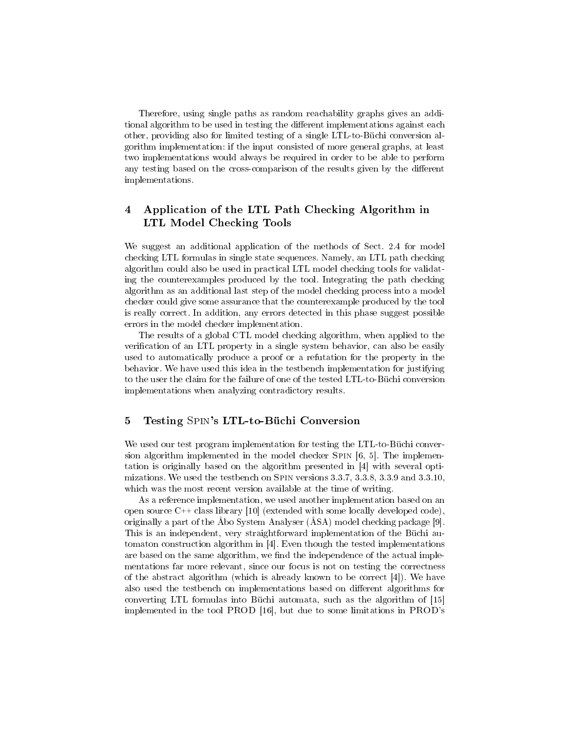Therefore, using single paths as random reachability graphs gives an additional algorithm to be used in testing the different implementations against each other, providing also for limited testing of a single LTL-to-Büchi conversion algorithm implementation: if the input consisted of more general graphs, at least two implementations would always be required in order to be able to perform any testing based on the cross-comparison of the results given by the different implementations.

#### $\overline{4}$ 4 Application of the LTL Path Checking Algorithm in LTL Model Checking Tools

We suggest an additional application of the methods of Sect. 2.4 for model checking LTL formulas in single state sequences. Namely, an LTL path checking algorithm could also be used in practical LTL model checking tools for validating the counterexamples produced by the tool. Integrating the path checking algorithm as an additional last step of the model checking process into a model checker could give some assurance that the counterexample produced by the tool is really correct. In addition, any errors detected in this phase suggest possible errors in the model checker implementation.

The results of a global CTL model checking algorithm, when applied to the verification of an LTL property in a single system behavior, can also be easily used to automatically produce a proof or a refutation for the property in the behavior. We have used this idea in the testbench implementation for justifying to the user the claim for the failure of one of the tested LTL-to-Büchi conversion implementations when analyzing contradictory results.

## 5 Testing Spin's LTL-to-Büchi Conversion

We used our test program implementation for testing the LTL-to-Büchi conversion algorithm implemented in the model checker SPIN [6, 5]. The implementation is originally based on the algorithm presented in [4] with several optimizations. We used the testbench on Spin versions 3.3.7, 3.3.8, 3.3.9 and 3.3.10, which was the most recent version available at the time of writing.

As a reference implementation, we used another implementation based on an open source C++ class library [10] (extended with some locally developed code), originally a part of the Åbo System Analyser (ÅSA) model checking package [9]. This is an independent, very straightforward implementation of the Büchi automaton construction algorithm in [4]. Even though the tested implementations are based on the same algorithm, we find the independence of the actual implementations far more relevant, since our focus is not on testing the correctness of the abstract algorithm (which is already known to be correct [4]). We have also used the testbench on implementations based on different algorithms for converting LTL formulas into Büchi automata, such as the algorithm of [15] implemented in the tool PROD [16], but due to some limitations in PROD's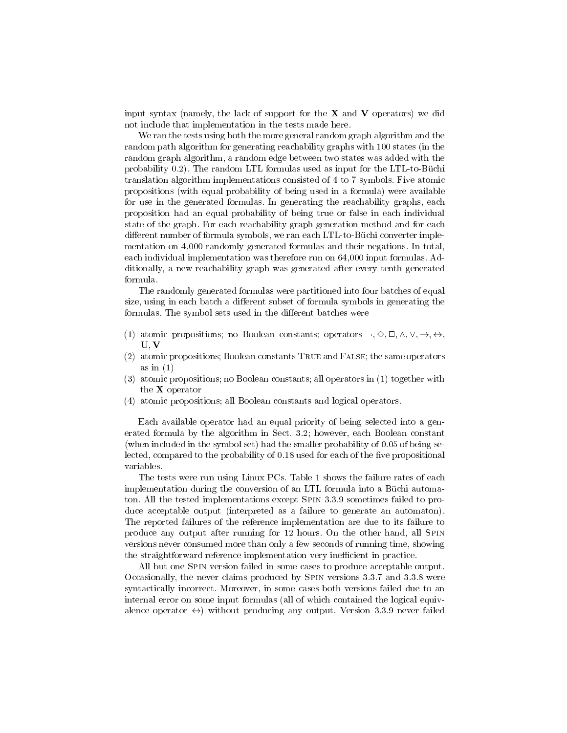input syntax (namely, the lack of support for the  $X$  and  $V$  operators) we did not include that implementation in the tests made here.

We ran the tests using both the more general random graph algorithm and the random path algorithm for generating reachability graphs with 100 states (in the random graph algorithm, a random edge between two states was added with the probability 0.2). The random LTL formulas used as input for the LTL-to-Büchi translation algorithm implementations consisted of 4 to 7 symbols. Five atomic propositions (with equal probability of being used in a formula) were available for use in the generated formulas. In generating the reachability graphs, each proposition had an equal probability of being true or false in each individual state of the graph. For each reachability graph generation method and for each different number of formula symbols, we ran each LTL-to-Büchi converter implementation on 4,000 randomly generated formulas and their negations. In total, each individual implementation was therefore run on 64,000 input formulas. Additionally, a new reachability graph was generated after every tenth generated formula.

The randomly generated formulas were partitioned into four batches of equal size, using in each batch a different subset of formula symbols in generating the formulas. The symbol sets used in the different batches were

- (1) atomic propositions; no Boolean constants; operators  $\neg, \Diamond, \Box, \land, \lor, \rightarrow, \leftrightarrow,$ U; Vietnamental est est en la construction de la construction de la construction de la construction de la const
- (2) atomic propositions; Boolean constants True and False; the same operators as in  $(1)$
- (3) atomic propositions; no Boolean constants; all operators in (1) together with the X operator
- (4) atomic propositions; all Boolean constants and logical operators.

Each available operator had an equal priority of being selected into a generated formula by the algorithm in Sect. 3.2; however, each Boolean constant (when included in the symbol set) had the smaller probability of 0.05 of being selected, compared to the probability of  $0.18$  used for each of the five propositional variables.

The tests were run using Linux PCs. Table 1 shows the failure rates of each implementation during the conversion of an LTL formula into a Büchi automaton. All the tested implementations except Spin 3.3.9 sometimes failed to produce acceptable output (interpreted as a failure to generate an automaton). The reported failures of the reference implementation are due to its failure to produce any output after running for 12 hours. On the other hand, all Spin versions never consumed more than only a few seconds of running time, showing the straightforward reference implementation very inefficient in practice.

All but one Spin version failed in some cases to produce acceptable output. Occasionally, the never claims produced by Spin versions 3.3.7 and 3.3.8 were syntactically incorrect. Moreover, in some cases both versions failed due to an internal error on some input formulas (all of which contained the logical equivalence operator  $\leftrightarrow$ ) without producing any output. Version 3.3.9 never failed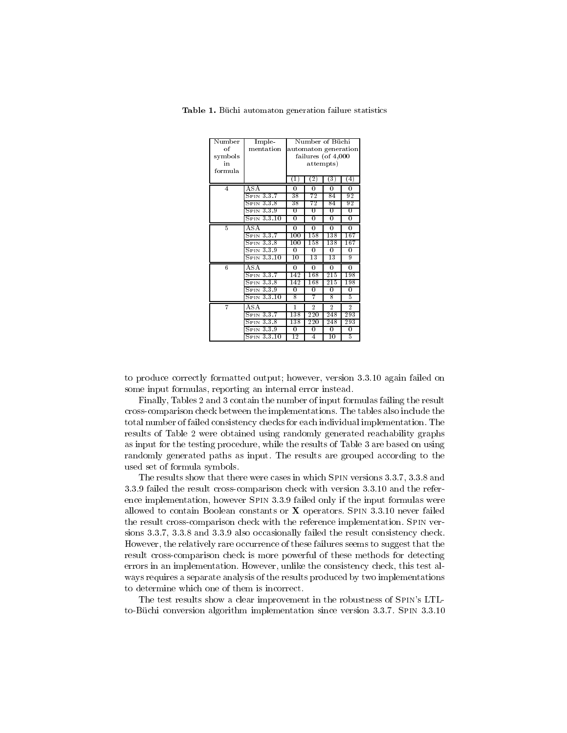Table 1. Büchi automaton generation failure statistics

| Number         | Imple-            |                    |                | Number of Büchi      |                |
|----------------|-------------------|--------------------|----------------|----------------------|----------------|
| of             | mentation         |                    |                | automaton generation |                |
| symbols        |                   | failures (of 4,000 |                |                      |                |
| in             |                   | attempts)          |                |                      |                |
| formula        |                   |                    |                |                      |                |
|                |                   | $\left(1\right)$   | 2)             | 3)                   | 4)             |
| $\overline{4}$ | ĂSA               | 0                  | $\Omega$       | 0                    | 0              |
|                | SPIN 3.3.7        | 38                 | 72             | 84                   | 92             |
|                | Spin 3.3.8        | 38                 | 72             | 84                   | 92             |
|                | SPIN 3.3.9        | 0                  | 0              | $\mathbf{0}$         | 0              |
|                | SPIN 3.3.10       | $\overline{0}$     | $\overline{0}$ | $\overline{0}$       | $\overline{0}$ |
| 5              | ĂSA               | $\overline{0}$     | $\overline{0}$ | $\overline{0}$       | $\overline{0}$ |
|                | Spin 3.3.7        | 100                | 158            | 138                  | 167            |
|                | SPIN 3.3.8        | 100                | 158            | 138                  | 167            |
|                | <b>SPIN 3.3.9</b> | $\overline{0}$     | $\overline{0}$ | $\overline{0}$       | $\mathbf{0}$   |
|                | SPIN 3.3.10       | 10                 | 13             | 13                   | 9              |
| 6              | ĂSA               | $\overline{0}$     | $\overline{0}$ | $\theta$             | $\overline{0}$ |
|                | SPIN 3.3.7        | 142                | 168            | 215                  | 198            |
|                | SPIN 3.3.8        | 142                | 168            | 215                  | 198            |
|                | Spin 3.3.9        | $\overline{0}$     | $\overline{0}$ | $\overline{0}$       | $\overline{0}$ |
|                | SPIN 3.3.10       | 8                  | 7              | 8                    | 5              |
| 7              | ĂSA               | 1                  | $\overline{2}$ | $\overline{2}$       | $\overline{2}$ |
|                | SPIN 3.3.7        | 138                | 220            | 248                  | 293            |
|                | Spin 3.3.8        | 138                | 220            | 248                  | 293            |
|                | Spin 3.3.9        | 0                  | $\overline{0}$ | $\overline{0}$       | $\overline{0}$ |
|                | SPIN 3.3.10       | $\overline{12}$    | 4              | 10                   | 5              |

to produce correctly formatted output; however, version 3.3.10 again failed on some input formulas, reporting an internal error instead.

Finally, Tables 2 and 3 contain the number of input formulas failing the result cross-comparison check between the implementations. The tables also include the total number of failed consistency checks for each individual implementation. The results of Table 2 were obtained using randomly generated reachability graphs as input for the testing procedure, while the results of Table 3 are based on using randomly generated paths as input. The results are grouped according to the used set of formula symbols.

The results show that there were cases in which SPIN versions 3.3.7, 3.3.8 and 3.3.9 failed the result cross-comparison check with version 3.3.10 and the reference implementation, however Spin 3.3.9 failed only if the input formulas were allowed to contain Boolean constants or  $X$  operators. SPIN 3.3.10 never failed the result cross-comparison check with the reference implementation. Spin versions 3.3.7, 3.3.8 and 3.3.9 also occasionally failed the result consistency check. However, the relatively rare occurrence of these failures seems to suggest that the result cross-comparison check is more powerful of these methods for detecting errors in an implementation. However, unlike the consistency check, this test al ways requires a separate analysis of the results produced by two implementations to determine which one of them is incorrect.

The test results show a clear improvement in the robustness of Spin's LTLto-Büchi conversion algorithm implementation since version 3.3.7. Spin 3.3.10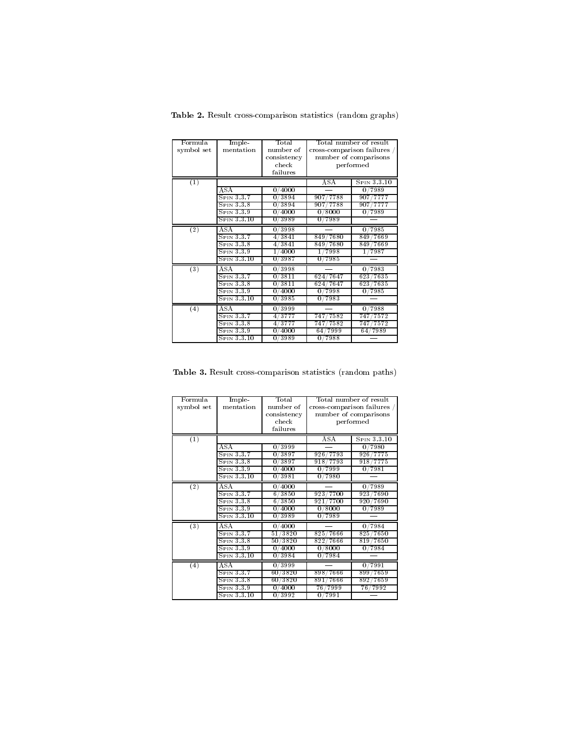| Formula    | Imple-      | Total       |                       | Total number of result      |  |
|------------|-------------|-------------|-----------------------|-----------------------------|--|
| symbol set | mentation   | number of   |                       | cross-comparison failures / |  |
|            |             | consistency | number of comparisons |                             |  |
|            |             | check       | performed             |                             |  |
|            |             | failures    |                       |                             |  |
| (1)        |             |             | ÅSA                   | SPIN 3.3.10                 |  |
|            | ASA         | 0/4000      |                       | 0/7989                      |  |
|            | SPIN 3.3.7  | 0/3894      | 907/7788              | 907/7777                    |  |
|            | SPIN 3.3.8  | 0/3894      | 907/7788              | 907/7777                    |  |
|            | SPIN 3.3.9  | 0/4000      | 0/8000                | 0/7989                      |  |
|            | SPIN 3.3.10 | 0/3989      | 0/7989                |                             |  |
| (2)        | ĂSA         | 0/3998      |                       | 0/7985                      |  |
|            | SPIN 3.3.7  | 4/3841      | 849/7680              | 849/7669                    |  |
|            | SPIN 3.3.8  | 4/3841      | 849/7680              | 849/7669                    |  |
|            | SPIN 3.3.9  | 1/4000      | 1/7998                | 1/7987                      |  |
|            | SPIN 3.3.10 | 0/3987      | 0/7985                |                             |  |
| (3)        | ÅSA         | 0/3998      |                       | 0/7983                      |  |
|            | SPIN 3.3.7  | 0/3811      | 624/7647              | 623/7635                    |  |
|            | SPIN 3.3.8  | 0/3811      | 624/7647              | 623/7635                    |  |
|            | SPIN 3.3.9  | 0/4000      | 0/7998                | 0/7985                      |  |
|            | SPIN 3.3.10 | 0/3985      | 0/7983                |                             |  |
| (4)        | ÅSA         | 0/3999      |                       | 0/7988                      |  |
|            | SPIN 3.3.7  | 4/3777      | 747/7582              | 747/7572                    |  |
|            | SPIN 3.3.8  | 4/3777      | 747/7582              | 747/7572                    |  |
|            | SPIN 3.3.9  | 0/4000      | 64/7999               | 64/7989                     |  |
|            | SPIN 3.3.10 | 0/3989      | 0/7988                |                             |  |

Table 2. Result cross-comparison statistics (random graphs)

Table 3. Result cross-comparison statistics (random paths)

| Formula    | Imple-            | Total       | Total number of result      |             |  |
|------------|-------------------|-------------|-----------------------------|-------------|--|
| symbol set | mentation         | number of   | cross-comparison failures / |             |  |
|            |                   | consistency | number of comparisons       |             |  |
|            |                   | check       | performed                   |             |  |
|            |                   | failures    |                             |             |  |
| (1)        |                   |             | ÅSA                         | SPIN 3.3.10 |  |
|            | ASA               | 0/3999      |                             | 0/7980      |  |
|            | SPIN 3.3.7        | 0/3897      | 926/7793                    | 926/7775    |  |
|            | <b>SPIN 3.3.8</b> | 0/3897      | 918/7793                    | 918/7775    |  |
|            | <b>SPIN 3.3.9</b> | 0/4000      | 0/7999                      | 0/7981      |  |
|            | SPIN 3.3.10       | 0/3981      | 0/7980                      |             |  |
| (2)        | ĂSA               | 0/4000      |                             | 0/7989      |  |
|            | SPIN 3.3.7        | 6/3850      | 923/7700                    | 923/7690    |  |
|            | SPIN 3.3.8        | 6/3850      | 921/7700                    | 920/7690    |  |
|            | SPIN 3.3.9        | 0/4000      | 0/8000                      | 0/7989      |  |
|            | SPIN 3.3.10       | 0/3989      | 0/7989                      |             |  |
| (3)        | ĂS A              | 0/4000      |                             | 0/7984      |  |
|            | SPIN 3.3.7        | 51/3820     | 825/7666                    | 825/7650    |  |
|            | SPIN 3.3.8        | 50/3820     | $\overline{822/7666}$       | 819/7650    |  |
|            | <b>SPIN 3.3.9</b> | 0/4000      | 0/8000                      | 0/7984      |  |
|            | SPIN 3.3.10       | 0/3984      | 0/7984                      |             |  |
| (4)        | ÅSA               | 0/3999      |                             | 0/7991      |  |
|            | <b>SPIN 3.3.7</b> | 60/3820     | 898/7666                    | 899/7659    |  |
|            | <b>SPIN 3.3.8</b> | 60/3820     | 891/7666                    | 892/7659    |  |
|            | SPIN 3.3.9        | 0/4000      | 76/7999                     | 76/7992     |  |
|            | SPIN 3.3.10       | 0/3992      | 0/7991                      |             |  |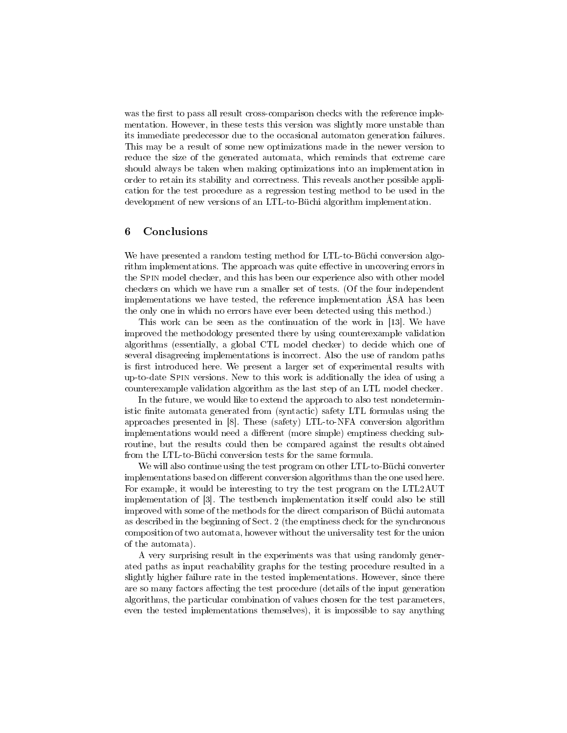was the first to pass all result cross-comparison checks with the reference implementation. However, in these tests this version was slightly more unstable than its immediate predecessor due to the occasional automaton generation failures. This may be a result of some new optimizations made in the newer version to reduce the size of the generated automata, which reminds that extreme care should always be taken when making optimizations into an implementation in order to retain its stability and correctness. This reveals another possible application for the test procedure as a regression testing method to be used in the development of new versions of an LTL-to-Büchi algorithm implementation.

#### **Conclusions** 6

We have presented a random testing method for LTL-to-Büchi conversion algorithm implementations. The approach was quite effective in uncovering errors in the Spin model checker, and this has been our experience also with other model checkers on which we have run a smaller set of tests. (Of the four independent implementations we have tested, the reference implementation ÅSA has been the only one in which no errors have ever been detected using this method.)

This work can be seen as the continuation of the work in [13]. We have improved the methodology presented there by using counterexample validation algorithms (essentially, a global CTL model checker) to decide which one of several disagreeing implementations is incorrect. Also the use of random paths is first introduced here. We present a larger set of experimental results with up-to-date Spin versions. New to this work is additionally the idea of using a counterexample validation algorithm as the last step of an LTL model checker.

In the future, we would like to extend the approach to also test nondeterministic finite automata generated from (syntactic) safety LTL formulas using the approaches presented in [8]. These (safety) LTL-to-NFA conversion algorithm implementations would need a different (more simple) emptiness checking subroutine, but the results could then be compared against the results obtained from the LTL-to-Büchi conversion tests for the same formula.

We will also continue using the test program on other LTL-to-Büchi converter implementations based on different conversion algorithms than the one used here. For example, it would be interesting to try the test program on the LTL2AUT implementation of [3]. The testbench implementation itself could also be still improved with some of the methods for the direct comparison of Büchi automata as described in the beginning of Sect. 2 (the emptiness check for the synchronous composition of two automata, however without the universality test for the union of the automata).

A very surprising result in the experiments was that using randomly generated paths as input reachability graphs for the testing procedure resulted in a slightly higher failure rate in the tested implementations. However, since there are so many factors affecting the test procedure (details of the input generation algorithms, the particular combination of values chosen for the test parameters, even the tested implementations themselves), it is impossible to say anything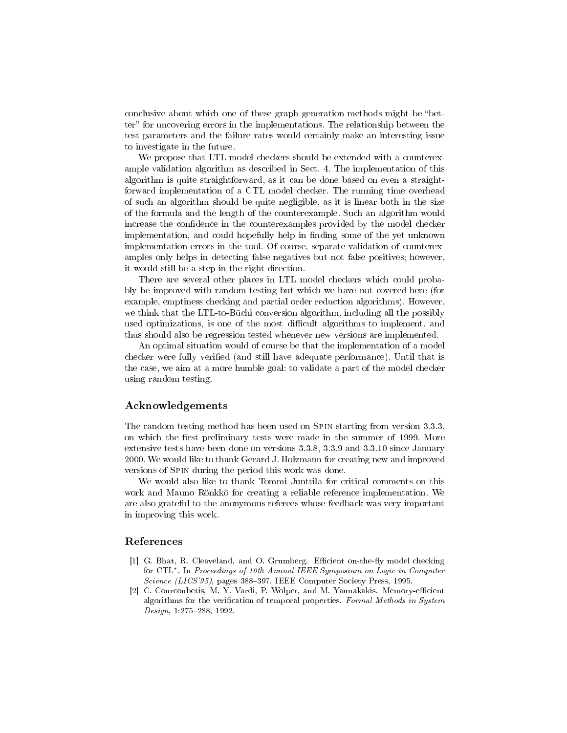conclusive about which one of these graph generation methods might be "better" for uncovering errors in the implementations. The relationship between the test parameters and the failure rates would certainly make an interesting issue to investigate in the future.

We propose that LTL model checkers should be extended with a counterexample validation algorithm as described in Sect. 4. The implementation of this algorithm is quite straightforward, as it can be done based on even a straightforward implementation of a CTL model checker. The running time overhead of such an algorithm should be quite negligible, as it is linear both in the size of the formula and the length of the counterexample. Such an algorithm would increase the confidence in the counterexamples provided by the model checker implementation, and could hopefully help in finding some of the yet unknown implementation errors in the tool. Of course, separate validation of counterexamples only helps in detecting false negatives but not false positives; however, it would still be a step in the right direction.

There are several other places in LTL model checkers which could probably be improved with random testing but which we have not covered here (for example, emptiness checking and partial order reduction algorithms). However, we think that the LTL-to-Büchi conversion algorithm, including all the possibly used optimizations, is one of the most difficult algorithms to implement, and thus should also be regression tested whenever new versions are implemented.

An optimal situation would of course be that the implementation of a model checker were fully verified (and still have adequate performance). Until that is the case, we aim at a more humble goal: to validate a part of the model checker using random testing.

#### Acknowledgements

The random testing method has been used on Spin starting from version 3.3.3, on which the first preliminary tests were made in the summer of 1999. More extensive tests have been done on versions 3.3.8, 3.3.9 and 3.3.10 since January 2000. We would like to thank Gerard J. Holzmann for creating new and improved versions of Spin during the period this work was done.

We would also like to thank Tommi Junttila for critical comments on this work and Mauno Rönkkö for creating a reliable reference implementation. We are also grateful to the anonymous referees whose feedback was very important in improving this work.

#### References

- [1] G. Bhat, R. Cleaveland, and O. Grumberg. Efficient on-the-fly model checking for CTL . In Proceedings of 10th Annual IEEE Symposium on Logic in Computer Science (LICS'95), pages 388-397. IEEE Computer Society Press, 1995.
- [2] C. Courcoubetis, M. Y. Vardi, P. Wolper, and M. Yannakakis. Memory-efficient algorithms for the verification of temporal properties. Formal Methods in System Design, 1:275-288, 1992.